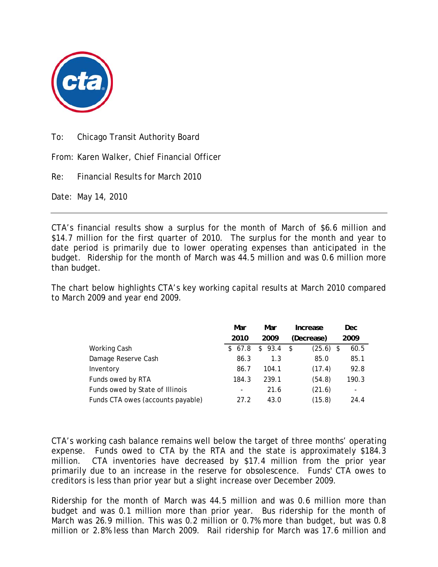

To: Chicago Transit Authority Board

From: Karen Walker, Chief Financial Officer

Re: Financial Results for March 2010

Date: May 14, 2010

CTA's financial results show a surplus for the month of March of \$6.6 million and \$14.7 million for the first quarter of 2010. The surplus for the month and year to date period is primarily due to lower operating expenses than anticipated in the budget. Ridership for the month of March was 44.5 million and was 0.6 million more than budget.

The chart below highlights CTA's key working capital results at March 2010 compared to March 2009 and year end 2009.

|                                   | Mar    | Mar    | Increase          | <b>Dec</b> |
|-----------------------------------|--------|--------|-------------------|------------|
|                                   | 2010   | 2009   | (Decrease)        | 2009       |
| Working Cash                      | \$67.8 | \$93.4 | $(25.6)$ \$<br>\$ | 60.5       |
| Damage Reserve Cash               | 86.3   | 1.3    | 85.0              | 85.1       |
| Inventory                         | 86.7   | 104.1  | (17.4)            | 92.8       |
| Funds owed by RTA                 | 184.3  | 239.1  | (54.8)            | 190.3      |
| Funds owed by State of Illinois   |        | 21.6   | (21.6)            | ٠          |
| Funds CTA owes (accounts payable) | 27.2   | 43.0   | (15.8)            | 24.4       |

CTA's working cash balance remains well below the target of three months' operating expense. Funds owed to CTA by the RTA and the state is approximately \$184.3 million. CTA inventories have decreased by \$17.4 million from the prior year primarily due to an increase in the reserve for obsolescence. Funds' CTA owes to creditors is less than prior year but a slight increase over December 2009.

Ridership for the month of March was 44.5 million and was 0.6 million more than budget and was 0.1 million more than prior year. Bus ridership for the month of March was 26.9 million. This was 0.2 million or 0.7% more than budget, but was 0.8 million or 2.8% less than March 2009. Rail ridership for March was 17.6 million and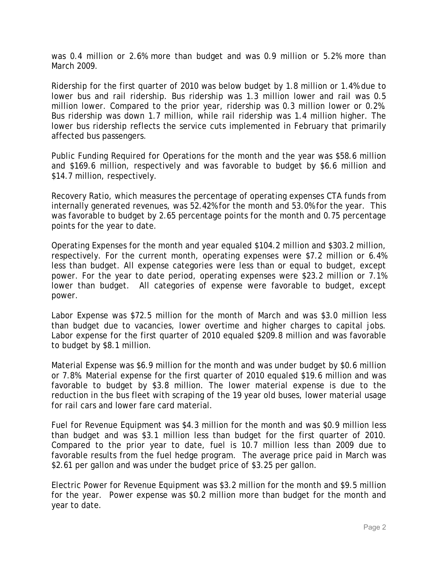was 0.4 million or 2.6% more than budget and was 0.9 million or 5.2% more than March 2009.

Ridership for the first quarter of 2010 was below budget by 1.8 million or 1.4% due to lower bus and rail ridership. Bus ridership was 1.3 million lower and rail was 0.5 million lower. Compared to the prior year, ridership was 0.3 million lower or 0.2%. Bus ridership was down 1.7 million, while rail ridership was 1.4 million higher. The lower bus ridership reflects the service cuts implemented in February that primarily affected bus passengers.

Public Funding Required for Operations for the month and the year was \$58.6 million and \$169.6 million, respectively and was favorable to budget by \$6.6 million and \$14.7 million, respectively.

Recovery Ratio, which measures the percentage of operating expenses CTA funds from internally generated revenues, was 52.42% for the month and 53.0% for the year. This was favorable to budget by 2.65 percentage points for the month and 0.75 percentage points for the year to date.

Operating Expenses for the month and year equaled \$104.2 million and \$303.2 million, respectively. For the current month, operating expenses were \$7.2 million or 6.4% less than budget. All expense categories were less than or equal to budget, except power. For the year to date period, operating expenses were \$23.2 million or 7.1% lower than budget. All categories of expense were favorable to budget, except power.

Labor Expense was \$72.5 million for the month of March and was \$3.0 million less than budget due to vacancies, lower overtime and higher charges to capital jobs. Labor expense for the first quarter of 2010 equaled \$209.8 million and was favorable to budget by \$8.1 million.

Material Expense was \$6.9 million for the month and was under budget by \$0.6 million or 7.8%. Material expense for the first quarter of 2010 equaled \$19.6 million and was favorable to budget by \$3.8 million. The lower material expense is due to the reduction in the bus fleet with scraping of the 19 year old buses, lower material usage for rail cars and lower fare card material.

Fuel for Revenue Equipment was \$4.3 million for the month and was \$0.9 million less than budget and was \$3.1 million less than budget for the first quarter of 2010. Compared to the prior year to date, fuel is 10.7 million less than 2009 due to favorable results from the fuel hedge program. The average price paid in March was \$2.61 per gallon and was under the budget price of \$3.25 per gallon.

Electric Power for Revenue Equipment was \$3.2 million for the month and \$9.5 million for the year. Power expense was \$0.2 million more than budget for the month and year to date.